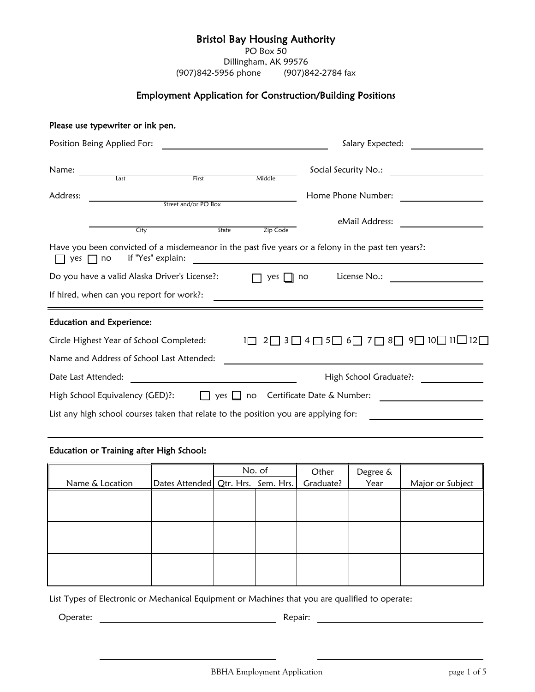# Bristol Bay Housing Authority

PO Box 50

Dillingham, AK 99576 (907)842-5956 phone (907)842-2784 fax

# Employment Application for Construction/Building Positions

|                             | Please use typewriter or ink pen.                                                                                             |                      |                |                                                                                                                                                                                                                                                    |  |  |
|-----------------------------|-------------------------------------------------------------------------------------------------------------------------------|----------------------|----------------|----------------------------------------------------------------------------------------------------------------------------------------------------------------------------------------------------------------------------------------------------|--|--|
| Position Being Applied For: |                                                                                                                               |                      |                | Salary Expected:                                                                                                                                                                                                                                   |  |  |
| Name:                       | <u>and the state of the state of the state of the state of the state of the state of the state of the state of th</u><br>Last | First                |                | Social Security No.: The contract of the Social Security No.:                                                                                                                                                                                      |  |  |
|                             |                                                                                                                               |                      | Middle         |                                                                                                                                                                                                                                                    |  |  |
| Address:                    |                                                                                                                               | Street and/or PO Box |                | Home Phone Number:                                                                                                                                                                                                                                 |  |  |
|                             |                                                                                                                               |                      |                |                                                                                                                                                                                                                                                    |  |  |
|                             |                                                                                                                               |                      |                | eMail Address:                                                                                                                                                                                                                                     |  |  |
|                             | City                                                                                                                          | State                | Zip Code       |                                                                                                                                                                                                                                                    |  |  |
| yes $\Box$ no               | if "Yes" explain:<br>Do you have a valid Alaska Driver's License?:<br>If hired, when can you report for work?:                |                      | yes            | Have you been convicted of a misdemeanor in the past five years or a felony in the past ten years?:<br><u>and the state of the state of the state of the state of the state of the state of the state of the state of th</u><br>License No.:<br>no |  |  |
|                             | <b>Education and Experience:</b>                                                                                              |                      |                |                                                                                                                                                                                                                                                    |  |  |
|                             | Circle Highest Year of School Completed:                                                                                      |                      | $1\Box$<br>2 I | ̄ 3  ̄ 4  ̄ 5  ̄ 6 ̄ 7  ̄ 8 ̄ 9 ̄ 10 ̄ 11_ 12  ̄                                                                                                                                                                                                   |  |  |
|                             | Name and Address of School Last Attended:                                                                                     |                      |                |                                                                                                                                                                                                                                                    |  |  |
| Date Last Attended:         |                                                                                                                               |                      |                | High School Graduate?:                                                                                                                                                                                                                             |  |  |
|                             | High School Equivalency (GED)?:                                                                                               | $\Box$               |                | yes $\Box$ no Certificate Date & Number:                                                                                                                                                                                                           |  |  |
|                             | List any high school courses taken that relate to the position you are applying for:                                          |                      |                |                                                                                                                                                                                                                                                    |  |  |

### Education or Training after High School:

|                 |                                      | No. of |  | Other     | Degree & |                  |
|-----------------|--------------------------------------|--------|--|-----------|----------|------------------|
| Name & Location | Dates Attended   Qtr. Hrs. Sem. Hrs. |        |  | Graduate? | Year     | Major or Subject |
|                 |                                      |        |  |           |          |                  |
|                 |                                      |        |  |           |          |                  |
|                 |                                      |        |  |           |          |                  |
|                 |                                      |        |  |           |          |                  |
|                 |                                      |        |  |           |          |                  |
|                 |                                      |        |  |           |          |                  |
|                 |                                      |        |  |           |          |                  |
|                 |                                      |        |  |           |          |                  |
|                 |                                      |        |  |           |          |                  |

List Types of Electronic or Mechanical Equipment or Machines that you are qualified to operate:

Operate: Repair: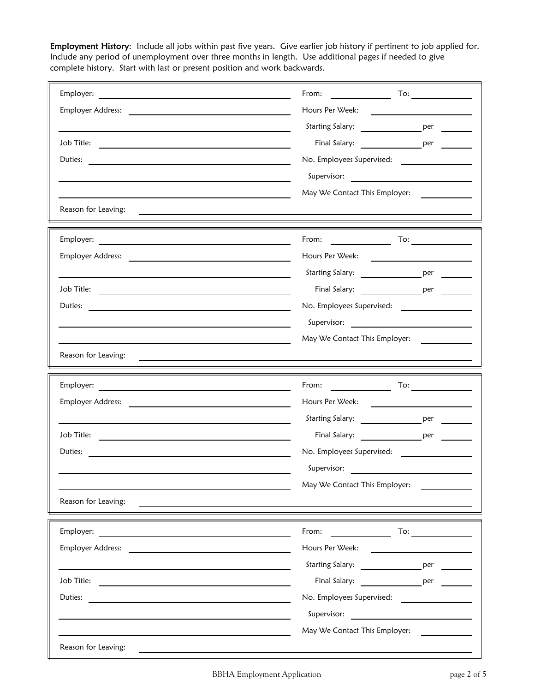Employment History: Include all jobs within past five years. Give earlier job history if pertinent to job applied for. Include any period of unemployment over three months in length. Use additional pages if needed to give complete history. Start with last or present position and work backwards.

| Employer:                                                                                                                                                                                                                      | From:<br>$\frac{1}{\sqrt{1-\frac{1}{2}}\cdot\frac{1}{\sqrt{1-\frac{1}{2}}\cdot\frac{1}{\sqrt{1-\frac{1}{2}}\cdot\frac{1}{\sqrt{1-\frac{1}{2}}\cdot\frac{1}{\sqrt{1-\frac{1}{2}}\cdot\frac{1}{\sqrt{1-\frac{1}{2}}\cdot\frac{1}{\sqrt{1-\frac{1}{2}}\cdot\frac{1}{\sqrt{1-\frac{1}{2}}\cdot\frac{1}{\sqrt{1-\frac{1}{2}}\cdot\frac{1}{\sqrt{1-\frac{1}{2}}\cdot\frac{1}{\sqrt{1-\frac{1}{2}}\cdot\frac{1}{\sqrt{1-\frac{1}{2}}\cdot\frac{1$ |  |  |  |  |
|--------------------------------------------------------------------------------------------------------------------------------------------------------------------------------------------------------------------------------|--------------------------------------------------------------------------------------------------------------------------------------------------------------------------------------------------------------------------------------------------------------------------------------------------------------------------------------------------------------------------------------------------------------------------------------------|--|--|--|--|
|                                                                                                                                                                                                                                | Starting Salary: ___________________ per                                                                                                                                                                                                                                                                                                                                                                                                   |  |  |  |  |
|                                                                                                                                                                                                                                | Final Salary: ________________________ per                                                                                                                                                                                                                                                                                                                                                                                                 |  |  |  |  |
|                                                                                                                                                                                                                                |                                                                                                                                                                                                                                                                                                                                                                                                                                            |  |  |  |  |
|                                                                                                                                                                                                                                |                                                                                                                                                                                                                                                                                                                                                                                                                                            |  |  |  |  |
|                                                                                                                                                                                                                                | May We Contact This Employer:                                                                                                                                                                                                                                                                                                                                                                                                              |  |  |  |  |
| Reason for Leaving:                                                                                                                                                                                                            |                                                                                                                                                                                                                                                                                                                                                                                                                                            |  |  |  |  |
|                                                                                                                                                                                                                                | From:<br>To: $\qquad \qquad$                                                                                                                                                                                                                                                                                                                                                                                                               |  |  |  |  |
|                                                                                                                                                                                                                                | Hours Per Week:<br><u>and the state of the state of the state of the state of the state of the state of the state of the state of the state of the state of the state of the state of the state of the state of the state of the state of the state</u>                                                                                                                                                                                    |  |  |  |  |
|                                                                                                                                                                                                                                |                                                                                                                                                                                                                                                                                                                                                                                                                                            |  |  |  |  |
| Job Title:                                                                                                                                                                                                                     |                                                                                                                                                                                                                                                                                                                                                                                                                                            |  |  |  |  |
| Duties:                                                                                                                                                                                                                        | No. Employees Supervised:                                                                                                                                                                                                                                                                                                                                                                                                                  |  |  |  |  |
|                                                                                                                                                                                                                                |                                                                                                                                                                                                                                                                                                                                                                                                                                            |  |  |  |  |
|                                                                                                                                                                                                                                | May We Contact This Employer:                                                                                                                                                                                                                                                                                                                                                                                                              |  |  |  |  |
| Reason for Leaving:                                                                                                                                                                                                            |                                                                                                                                                                                                                                                                                                                                                                                                                                            |  |  |  |  |
|                                                                                                                                                                                                                                |                                                                                                                                                                                                                                                                                                                                                                                                                                            |  |  |  |  |
|                                                                                                                                                                                                                                | Hours Per Week:                                                                                                                                                                                                                                                                                                                                                                                                                            |  |  |  |  |
|                                                                                                                                                                                                                                | Starting Salary: ________________________ per                                                                                                                                                                                                                                                                                                                                                                                              |  |  |  |  |
|                                                                                                                                                                                                                                | Final Salary: The period of period and salary:                                                                                                                                                                                                                                                                                                                                                                                             |  |  |  |  |
| Duties:                                                                                                                                                                                                                        |                                                                                                                                                                                                                                                                                                                                                                                                                                            |  |  |  |  |
|                                                                                                                                                                                                                                | Supervisor:                                                                                                                                                                                                                                                                                                                                                                                                                                |  |  |  |  |
|                                                                                                                                                                                                                                | May We Contact This Employer:                                                                                                                                                                                                                                                                                                                                                                                                              |  |  |  |  |
| Reason for Leaving:                                                                                                                                                                                                            |                                                                                                                                                                                                                                                                                                                                                                                                                                            |  |  |  |  |
| Employer:<br><u> 1989 - Johann Stein, mars an deus Amerikaansk kommunister (</u>                                                                                                                                               | From:<br>To: $\qquad \qquad$                                                                                                                                                                                                                                                                                                                                                                                                               |  |  |  |  |
| Employer Address: The Manuscripture of the Manuscripture of the Manuscripture of the Manuscripture of the Manuscripture of the Manuscripture of the Manuscripture of the Manuscripture of the Manuscripture of the Manuscriptu | Hours Per Week:                                                                                                                                                                                                                                                                                                                                                                                                                            |  |  |  |  |
|                                                                                                                                                                                                                                |                                                                                                                                                                                                                                                                                                                                                                                                                                            |  |  |  |  |
|                                                                                                                                                                                                                                | Starting Salary: The per                                                                                                                                                                                                                                                                                                                                                                                                                   |  |  |  |  |
|                                                                                                                                                                                                                                | Final Salary: The per                                                                                                                                                                                                                                                                                                                                                                                                                      |  |  |  |  |
| Duties:                                                                                                                                                                                                                        | No. Employees Supervised:                                                                                                                                                                                                                                                                                                                                                                                                                  |  |  |  |  |
|                                                                                                                                                                                                                                |                                                                                                                                                                                                                                                                                                                                                                                                                                            |  |  |  |  |
|                                                                                                                                                                                                                                | May We Contact This Employer:                                                                                                                                                                                                                                                                                                                                                                                                              |  |  |  |  |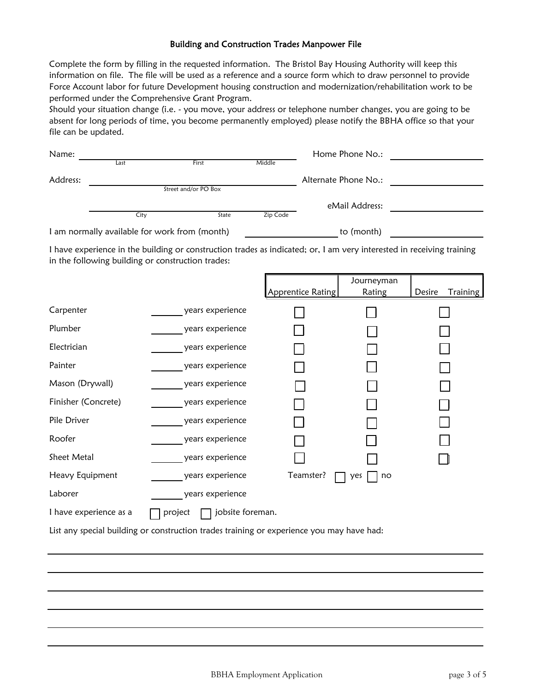#### Building and Construction Trades Manpower File

Complete the form by filling in the requested information. The Bristol Bay Housing Authority will keep this information on file. The file will be used as a reference and a source form which to draw personnel to provide Force Account labor for future Development housing construction and modernization/rehabilitation work to be performed under the Comprehensive Grant Program.

Should your situation change (i.e. - you move, your address or telephone number changes, you are going to be absent for long periods of time, you become permanently employed) please notify the BBHA office so that your file can be updated.

| Name:                                         |      |                      | Home Phone No.: |                      |  |
|-----------------------------------------------|------|----------------------|-----------------|----------------------|--|
|                                               | Last | First                | Middle          |                      |  |
| Address:                                      |      |                      |                 | Alternate Phone No.: |  |
|                                               |      | Street and/or PO Box |                 |                      |  |
|                                               |      |                      |                 | eMail Address:       |  |
|                                               | City | State                | Zip Code        |                      |  |
| I am normally available for work from (month) |      |                      |                 | to (month)           |  |

I have experience in the building or construction trades as indicated; or, I am very interested in receiving training in the following building or construction trades:

|                        |                             |                   | Journeyman |                           |
|------------------------|-----------------------------|-------------------|------------|---------------------------|
|                        |                             | Apprentice Rating | Rating     | Desire<br><b>Training</b> |
| Carpenter              | years experience            |                   |            |                           |
| Plumber                | years experience            |                   |            |                           |
| Electrician            | years experience            |                   |            |                           |
| Painter                | years experience            |                   |            |                           |
| Mason (Drywall)        | years experience            |                   |            |                           |
| Finisher (Concrete)    | years experience            |                   |            |                           |
| Pile Driver            | years experience            |                   |            |                           |
| Roofer                 | years experience            |                   |            |                           |
| Sheet Metal            | years experience            |                   |            |                           |
| Heavy Equipment        | years experience            | Teamster?         | no<br>yes  |                           |
| Laborer                | years experience            |                   |            |                           |
| I have experience as a | jobsite foreman.<br>project |                   |            |                           |

List any special building or construction trades training or experience you may have had: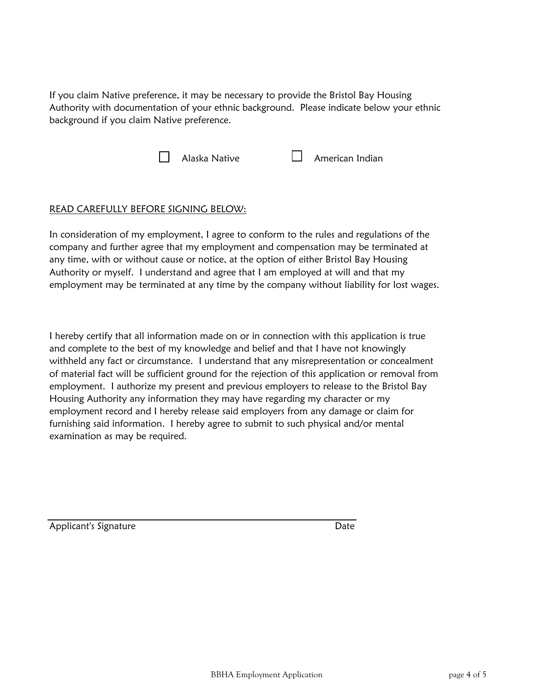If you claim Native preference, it may be necessary to provide the Bristol Bay Housing Authority with documentation of your ethnic background. Please indicate below your ethnic background if you claim Native preference.



## READ CAREFULLY BEFORE SIGNING BELOW:

In consideration of my employment, I agree to conform to the rules and regulations of the company and further agree that my employment and compensation may be terminated at any time, with or without cause or notice, at the option of either Bristol Bay Housing Authority or myself. I understand and agree that I am employed at will and that my employment may be terminated at any time by the company without liability for lost wages.

I hereby certify that all information made on or in connection with this application is true and complete to the best of my knowledge and belief and that I have not knowingly withheld any fact or circumstance. I understand that any misrepresentation or concealment of material fact will be sufficient ground for the rejection of this application or removal from employment. I authorize my present and previous employers to release to the Bristol Bay Housing Authority any information they may have regarding my character or my employment record and I hereby release said employers from any damage or claim for furnishing said information. I hereby agree to submit to such physical and/or mental examination as may be required.

Applicant's Signature **Date** Date **Date**